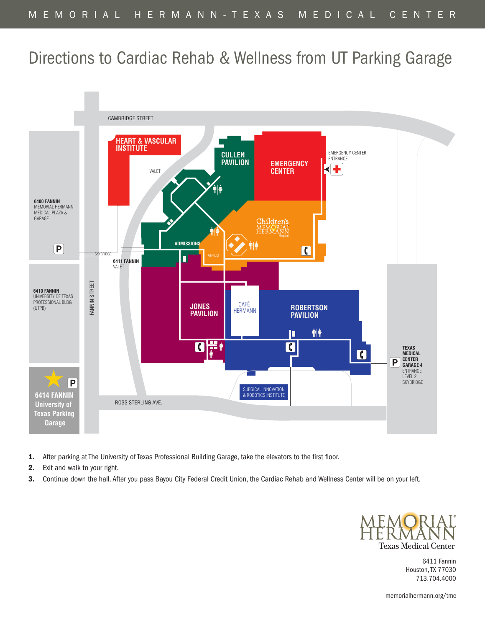## Directions to Cardiac Rehab & Wellness from UT Parking Garage



- **1.** After parking at The University of Texas Professional Building Garage, take the elevators to the first floor.
- **2.** Exit and walk to your right.
- **3.** Continue down the hall. After you pass Bayou City Federal Credit Union, the Cardiac Rehab and Wellness Center will be on your left.



6411 Fannin Houston,TX 77030 713.704.4000